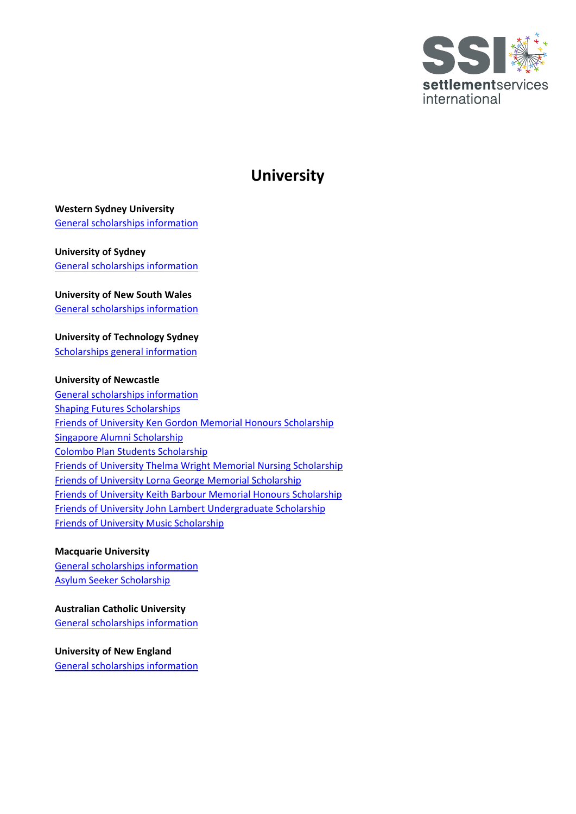

# **University**

## **Western Sydney University**

[General scholarships information](https://www.westernsydney.edu.au/opportunities/scholarships/important-dates)

## **University of Sydney** [General scholarships information](https://www.sydney.edu.au/scholarships/domestic/bachelors-honours/equity.html)

**University of New South Wales** 

[General scholarships information](https://www.scholarships.unsw.edu.au/scholarships/id/1486)

**University of Technology Sydney** [Scholarships general information](https://www.uts.edu.au/scholarship/uts-humanitarian-scholarship)

### **University of Newcastle**

[General scholarships information](https://www.newcastle.edu.au/scholarships#filter=type_vacation) [Shaping Futures Scholarships](https://www.newcastle.edu.au/scholarships/EXT_140) [Friends of University Ken Gordon Memorial Honours Scholarship](https://www.newcastle.edu.au/scholarships/EXT_023) [Singapore Alumni Scholarship](https://www.newcastle.edu.au/scholarships/EXT_147) [Colombo Plan Students Scholarship](https://www.newcastle.edu.au/scholarships/EXT_105) [Friends of University Thelma Wright Memorial Nursing Scholarship](https://www.newcastle.edu.au/scholarships/EXT_088) [Friends of University Lorna George Memorial Scholarship](https://www.newcastle.edu.au/scholarships/EXT_209) [Friends of University Keith Barbour Memorial Honours Scholarship](https://www.newcastle.edu.au/scholarships/EXT_009) [Friends of University John Lambert Undergraduate Scholarship](https://www.newcastle.edu.au/scholarships/EXT_020) [Friends of University Music Scholarship](https://www.newcastle.edu.au/scholarships/EXT_132)

### **Macquarie University**

[General scholarships information](https://www.mq.edu.au/study/why-study-here/scholarships) [Asylum Seeker Scholarship](https://www.mq.edu.au/about/about-the-university/offices-and-units/wideningparticipation/our-programs/refugee-transition-support/asylum-seeker-scholarship)

**Australian Catholic University**  [General scholarships information](https://www.acu.edu.au/study-at-acu/fees-and-scholarships/scholarships)

**University of New England** [General scholarships information](https://www.une.edu.au/scholarships/other-scholarships)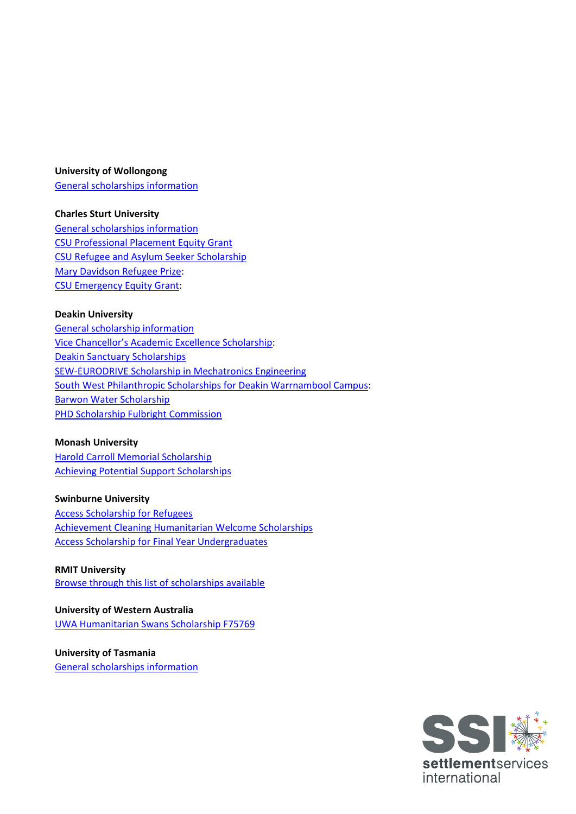#### **University of Wollongong**

[General scholarships information](https://www.uow.edu.au/study/scholarships/?gclid=EAIaIQobChMIj9nA3IT78gIVp5JmAh3aawW9EAAYASABEgKvmfD_BwE&gclsrc=aw.ds)

#### **Charles Sturt University**

[General scholarships information](https://study.csu.edu.au/get-support/scholarships) [CSU Professional Placement Equity Grant](https://study.csu.edu.au/get-support/scholarships/find-scholarship/equity) [CSU Refugee and Asylum Seeker Scholarship](https://study.csu.edu.au/get-support/scholarships/find-scholarship/foundation/any-year/csu-refugee-and-asylum-seeker-scholarship) [Mary Davidson Refugee Prize:](https://study.csu.edu.au/get-support/scholarships/find-scholarship/foundation/any-year/mary-davidson-refugee-prize) [CSU Emergency Equity Grant:](https://study.csu.edu.au/get-support/scholarships/find-scholarship/equity/eeg)

#### **Deakin University**

[General scholarship information](https://www.deakin.edu.au/study/fees-and-scholarships/scholarships) [Vice Chancellor's Academic Excellence Scholarship:](https://www.deakin.edu.au/study/fees-and-scholarships/scholarships/find-a-scholarship/vice-chancellors-academic-excellence-scholarship) [Deakin Sanctuary Scholarships](https://www.deakin.edu.au/study/fees-and-scholarships/scholarships/find-a-scholarship/deakin-sanctuary-scholarships) [SEW-EURODRIVE Scholarship in Mechatronics Engineering](https://www.deakin.edu.au/study/fees-and-scholarships/scholarships/find-a-scholarship/sew_eurodrive-scholarship-in-engineering) [South West Philanthropic Scholarships for Deakin Warrnambool Campus:](https://www.deakin.edu.au/study/fees-and-scholarships/scholarships/find-a-scholarship/south-west-philanthropic-academic-scholarships-deakin-warrnambool-campus) [Barwon Water Scholarship](https://www.deakin.edu.au/study/fees-and-scholarships/scholarships/find-a-scholarship/barwon-water-scholarship) **[PHD Scholarship Fulbright Commission](https://www.deakin.edu.au/study/fees-and-scholarships/scholarships/find-a-scholarship/fulbright-scholarships)** 

#### **Monash University**

[Harold Carroll Memorial Scholarship](https://www.monash.edu/study/fees-scholarships/scholarships/find-a-scholarship/alex-raydon-scholarship-refugee-migrant-students-5844) [Achieving Potential Support Scholarships](https://www.monash.edu/study/fees-scholarships/scholarships/find-a-scholarship/Achieving-Potential-Scholarship-%20Practical%20Placement%20Grant)

#### **Swinburne University**

[Access Scholarship](https://www.swinburne.edu.au/study/options/scholarships/45/access-scholarship-for-refugees/) for Refugees [Achievement Cleaning Humanitarian Welcome Scholarships](https://www.swinburne.edu.au/study/options/scholarships/341/achievement-cleaning-humanitarian-welcome-scholarships/) [Access Scholarship for Final Year Undergraduates](https://www.swinburne.edu.au/study/options/scholarships/49/access-scholarship-for-final-year-undergraduates/#:%7E:text=All%20Access%20Scholarships%20are%20partly,the%20opportunity%20to%20do%20so.)

#### **RMIT University** [Browse through this list of scholarships available](https://www.rmit.edu.au/students/work-study-opportunities/scholarships)

**University of Western Australia** [UWA Humanitarian Swans Scholarship F75769](https://www.uwa.edu.au/study/scholarship-listing/uwa-humanitarian-swans-scholarship-f757691)

**University of Tasmania** [General scholarships information](https://www.utas.edu.au/study/scholarships-fees-and-costs?gclsrc=aw.ds&gclid=EAIaIQobChMI747c7vqd8wIVYJJmAh2etgX_EAAYAiAAEgLXxPD_BwE)

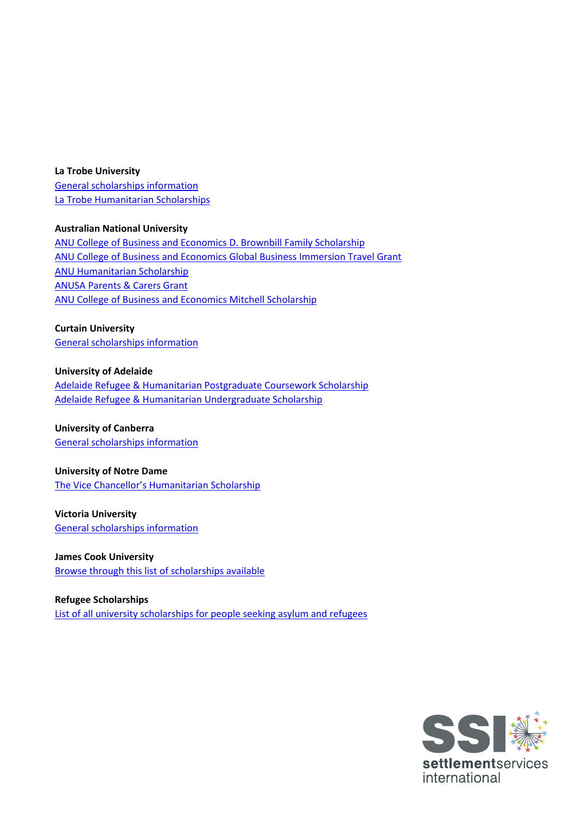#### **La Trobe University**

[General scholarships information](https://www.latrobe.edu.au/scholarships) [La Trobe Humanitarian Scholarships](https://www.latrobe.edu.au/scholarships/la-trobe-humanitarian-scholarships)

### **Australian National University**

[ANU College of Business and Economics D. Brownbill Family Scholarship](https://www.anu.edu.au/study/scholarships/find-a-scholarship/anu-college-of-business-and-economics-d-brownbill-family) [ANU College of Business and Economics Global Business Immersion Travel Grant](https://www.anu.edu.au/study/scholarships/find-a-scholarship/anu-college-of-business-and-economics-global-business) ANU Humanitarian Scholarship [ANUSA Parents & Carers Grant](https://www.anu.edu.au/study/scholarships/find-a-scholarship/anusa-parents-carers-grant) [ANU College of Business and Economics Mitchell](https://www.anu.edu.au/study/scholarships/find-a-scholarship/mitchell-scholarship) Scholarship

#### **Curtain University**

[General scholarships information](https://scholarships.curtin.edu.au/)

## **University of Adelaide**

[Adelaide Refugee & Humanitarian Postgraduate Coursework Scholarship](https://scholarships.adelaide.edu.au/Scholarships/postgraduate-coursework/all-faculties/adelaide-refugee-humanitarian-postgraduate) [Adelaide Refugee & Humanitarian Undergraduate Scholarship](https://scholarships.adelaide.edu.au/Scholarships/undergraduate/all-faculties/adelaide-refugee-humanitarian-undergraduate-scholarship)

## **University of Canberra**

[General scholarships information](https://www.canberra.edu.au/future-student-information/scholarships-and-financial-support)

### **University of Notre Dame**

[The Vice Chancellor's Humanitarian Scholarship](https://www.notredame.edu.au/current-students/opportunities/scholarships/sydney/scholarships-for-all-schools)

### **Victoria University** [General scholarships information](https://www.vu.edu.au/study-at-vu/fees-scholarships/scholarships)

**James Cook University** [Browse through this list of scholarships available](https://www.jcu.edu.au/scholarships-@-jcu)

**Refugee Scholarships** [List of all university scholarships for people seeking asylum and refugees](http://refugee-education.org/scholarships)

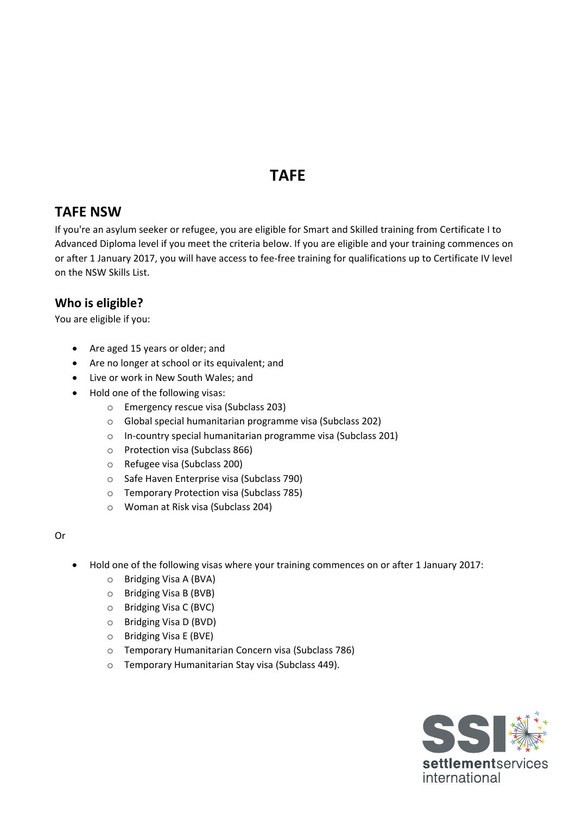# **TAFE**

# **TAFE NSW**

If you're an asylum seeker or refugee, you are eligible for Smart and Skilled training from Certificate I to Advanced Diploma level if you meet the criteria below. If you are eligible and your training commences on or after 1 January 2017, you will have access to fee-free training for qualifications up to Certificate IV level on the NSW Skills List.

# **Who is eligible?**

You are eligible if you:

- Are aged 15 years or older; and
- Are no longer at school or its equivalent; and
- Live or work in New South Wales; and
- Hold one of the following visas:
	- o Emergency rescue visa (Subclass 203)
	- o Global special humanitarian programme visa (Subclass 202)
	- o In-country special humanitarian programme visa (Subclass 201)
	- o Protection visa (Subclass 866)
	- o Refugee visa (Subclass 200)
	- o Safe Haven Enterprise visa (Subclass 790)
	- o Temporary Protection visa (Subclass 785)
	- o Woman at Risk visa (Subclass 204)

### Or

- Hold one of the following visas where your training commences on or after 1 January 2017:
	- o Bridging Visa A (BVA)
	- o Bridging Visa B (BVB)
	- o Bridging Visa C (BVC)
	- o Bridging Visa D (BVD)
	- o Bridging Visa E (BVE)
	- o Temporary Humanitarian Concern visa (Subclass 786)
	- o Temporary Humanitarian Stay visa (Subclass 449).

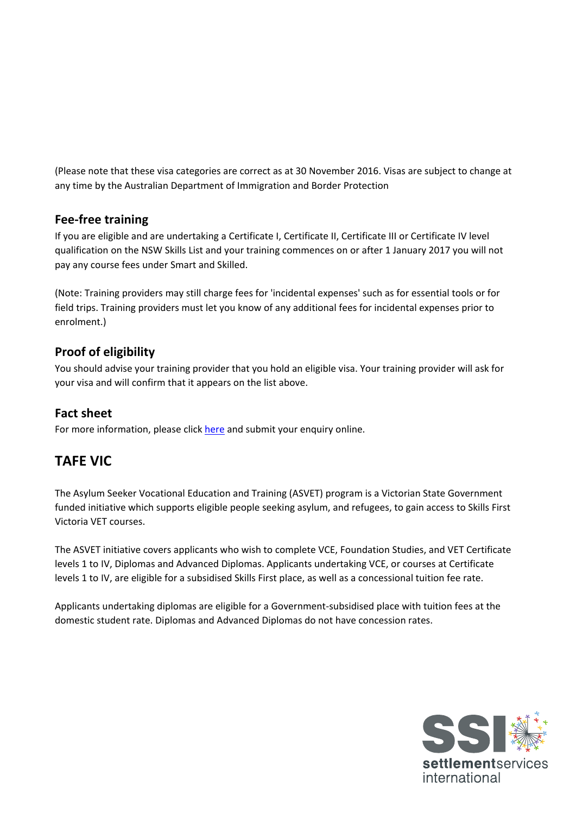(Please note that these visa categories are correct as at 30 November 2016. Visas are subject to change at any time by the Australian Department of Immigration and Border Protection

# **Fee-free training**

If you are eligible and are undertaking a Certificate I, Certificate II, Certificate III or Certificate IV level qualification on the NSW Skills List and your training commences on or after 1 January 2017 you will not pay any course fees under Smart and Skilled.

(Note: Training providers may still charge fees for 'incidental expenses' such as for essential tools or for field trips. Training providers must let you know of any additional fees for incidental expenses prior to enrolment.)

# **Proof of eligibility**

You should advise your training provider that you hold an eligible visa. Your training provider will ask for your visa and will confirm that it appears on the list above.

## **Fact sheet**

For more information, please click [here](https://tafensw.custhelp.com/app/contact-us/enquire?_ga=2.69559319.606390537.1632712768-861475363.1586220664) and submit your enquiry online.

# **TAFE VIC**

The Asylum Seeker Vocational Education and Training (ASVET) program is a Victorian State Government funded initiative which supports eligible people seeking asylum, and refugees, to gain access to Skills First Victoria VET courses.

The ASVET initiative covers applicants who wish to complete VCE, Foundation Studies, and VET Certificate levels 1 to IV, Diplomas and Advanced Diplomas. Applicants undertaking VCE, or courses at Certificate levels 1 to IV, are eligible for a subsidised Skills First place, as well as a concessional tuition fee rate.

Applicants undertaking diplomas are eligible for a Government-subsidised place with tuition fees at the domestic student rate. Diplomas and Advanced Diplomas do not have concession rates.

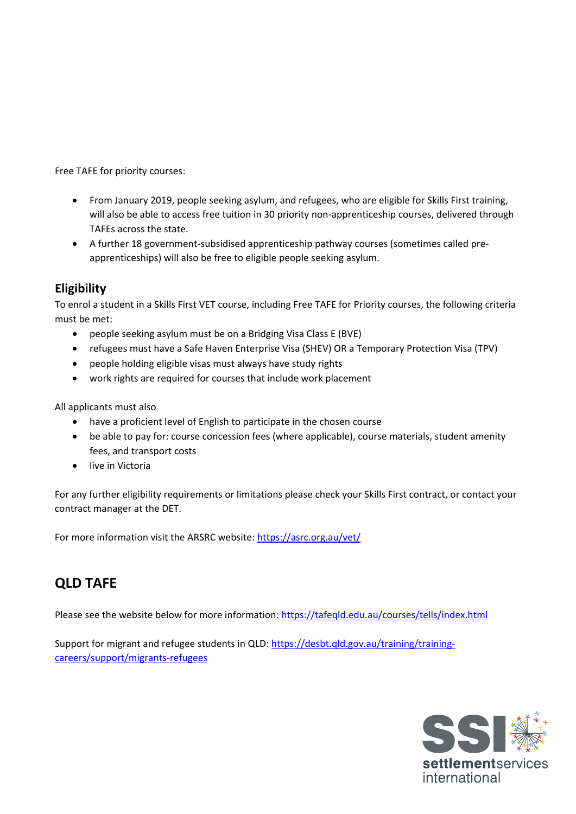Free TAFE for priority courses:

- From January 2019, people seeking asylum, and refugees, who are eligible for Skills First training, will also be able to access free tuition in 30 priority non-apprenticeship courses, delivered through TAFEs across the state.
- A further 18 government-subsidised apprenticeship pathway courses (sometimes called preapprenticeships) will also be free to eligible people seeking asylum.

## **Eligibility**

To enrol a student in a Skills First VET course, including Free TAFE for Priority courses, the following criteria must be met:

- people seeking asylum must be on a Bridging Visa Class E (BVE)
- refugees must have a Safe Haven Enterprise Visa (SHEV) OR a Temporary Protection Visa (TPV)
- people holding eligible visas must always have study rights
- work rights are required for courses that include work placement

All applicants must also

- have a proficient level of English to participate in the chosen course
- be able to pay for: course concession fees (where applicable), course materials, student amenity fees, and transport costs
- live in Victoria

For any further eligibility requirements or limitations please check your Skills First contract, or contact your contract manager at the DET.

For more information visit the ARSRC website:<https://asrc.org.au/vet/>

# **QLD TAFE**

Please see the website below for more information:<https://tafeqld.edu.au/courses/tells/index.html>

Support for migrant and refugee students in QLD[: https://desbt.qld.gov.au/training/training](https://desbt.qld.gov.au/training/training-careers/support/migrants-refugees)[careers/support/migrants-refugees](https://desbt.qld.gov.au/training/training-careers/support/migrants-refugees)

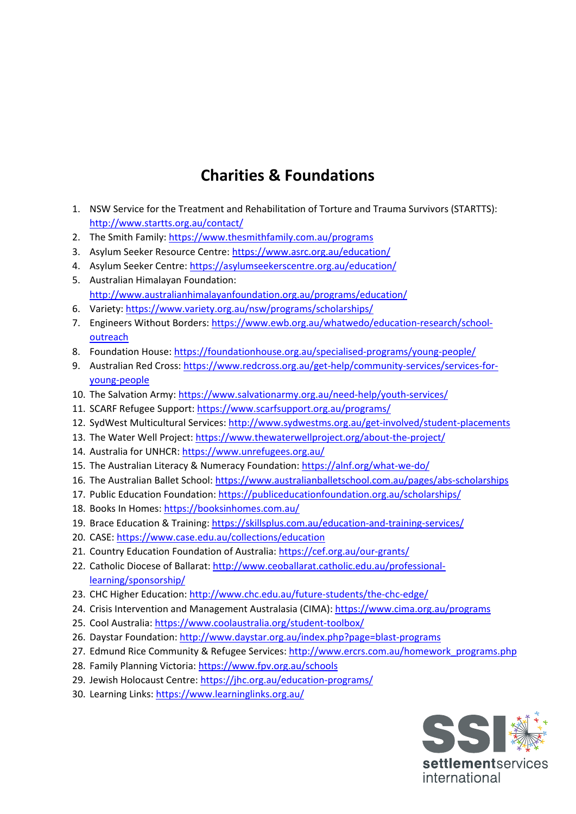# **Charities & Foundations**

- 1. NSW Service for the Treatment and Rehabilitation of Torture and Trauma Survivors (STARTTS): <http://www.startts.org.au/contact/>
- 2. The Smith Family[: https://www.thesmithfamily.com.au/programs](https://www.thesmithfamily.com.au/programs)
- 3. Asylum Seeker Resource Centre:<https://www.asrc.org.au/education/>
- 4. Asylum Seeker Centre:<https://asylumseekerscentre.org.au/education/> 5. Australian Himalayan Foundation:
	- <http://www.australianhimalayanfoundation.org.au/programs/education/>
- 6. Variety:<https://www.variety.org.au/nsw/programs/scholarships/>
- 7. Engineers Without Borders: [https://www.ewb.org.au/whatwedo/education-research/school](https://www.ewb.org.au/whatwedo/education-research/school-outreach)[outreach](https://www.ewb.org.au/whatwedo/education-research/school-outreach)
- 8. Foundation House:<https://foundationhouse.org.au/specialised-programs/young-people/>
- 9. Australian Red Cross: [https://www.redcross.org.au/get-help/community-services/services-for](https://www.redcross.org.au/get-help/community-services/services-for-young-people)[young-people](https://www.redcross.org.au/get-help/community-services/services-for-young-people)
- 10. The Salvation Army[: https://www.salvationarmy.org.au/need-help/youth-services/](https://www.salvationarmy.org.au/need-help/youth-services/)
- 11. SCARF Refugee Support:<https://www.scarfsupport.org.au/programs/>
- 12. SydWest Multicultural Services:<http://www.sydwestms.org.au/get-involved/student-placements>
- 13. The Water Well Project:<https://www.thewaterwellproject.org/about-the-project/>
- 14. Australia for UNHCR[: https://www.unrefugees.org.au/](https://www.unrefugees.org.au/)
- 15. The Australian Literacy & Numeracy Foundation:<https://alnf.org/what-we-do/>
- 16. The Australian Ballet School[: https://www.australianballetschool.com.au/pages/abs-scholarships](https://www.australianballetschool.com.au/pages/abs-scholarships)
- 17. Public Education Foundation:<https://publiceducationfoundation.org.au/scholarships/>
- 18. Books In Homes:<https://booksinhomes.com.au/>
- 19. Brace Education & Training:<https://skillsplus.com.au/education-and-training-services/>
- 20. CASE:<https://www.case.edu.au/collections/education>
- 21. Country Education Foundation of Australia:<https://cef.org.au/our-grants/>
- 22. Catholic Diocese of Ballarat: [http://www.ceoballarat.catholic.edu.au/professional](http://www.ceoballarat.catholic.edu.au/professional-learning/sponsorship/)[learning/sponsorship/](http://www.ceoballarat.catholic.edu.au/professional-learning/sponsorship/)
- 23. CHC Higher Education:<http://www.chc.edu.au/future-students/the-chc-edge/>
- 24. Crisis Intervention and Management Australasia (CIMA)[: https://www.cima.org.au/programs](https://www.cima.org.au/programs)
- 25. Cool Australia:<https://www.coolaustralia.org/student-toolbox/>
- 26. Daystar Foundation:<http://www.daystar.org.au/index.php?page=blast-programs>
- 27. Edmund Rice Community & Refugee Services: [http://www.ercrs.com.au/homework\\_programs.php](http://www.ercrs.com.au/homework_programs.php)
- 28. Family Planning Victoria:<https://www.fpv.org.au/schools>
- 29. Jewish Holocaust Centre:<https://jhc.org.au/education-programs/>
- 30. Learning Links:<https://www.learninglinks.org.au/>

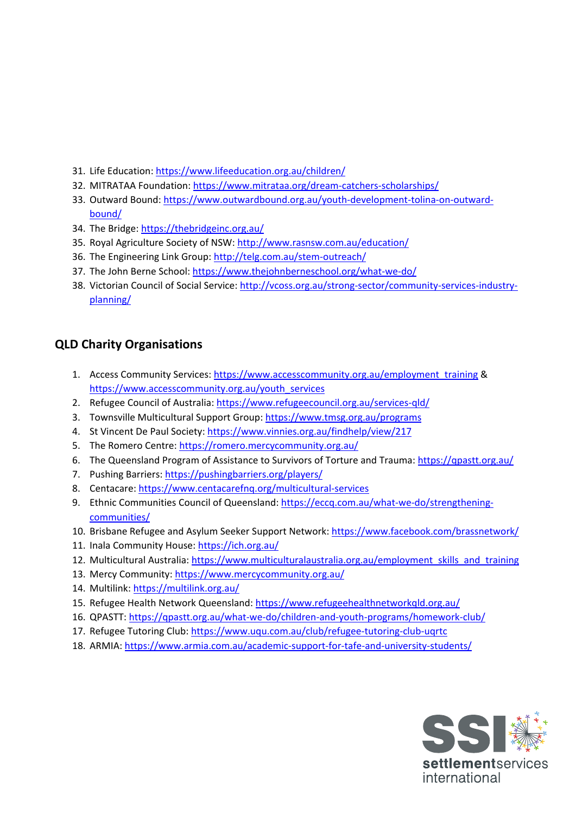- 31. Life Education:<https://www.lifeeducation.org.au/children/>
- 32. MITRATAA Foundation:<https://www.mitrataa.org/dream-catchers-scholarships/>
- 33. Outward Bound: [https://www.outwardbound.org.au/youth-development-tolina-on-outward](https://www.outwardbound.org.au/youth-development-tolina-on-outward-bound/)[bound/](https://www.outwardbound.org.au/youth-development-tolina-on-outward-bound/)
- 34. The Bridge:<https://thebridgeinc.org.au/>
- 35. Royal Agriculture Society of NSW:<http://www.rasnsw.com.au/education/>
- 36. The Engineering Link Group:<http://telg.com.au/stem-outreach/>
- 37. The John Berne School:<https://www.thejohnberneschool.org/what-we-do/>
- 38. Victorian Council of Social Service: [http://vcoss.org.au/strong-sector/community-services-industry](http://vcoss.org.au/strong-sector/community-services-industry-planning/)[planning/](http://vcoss.org.au/strong-sector/community-services-industry-planning/)

## **QLD Charity Organisations**

- 1. Access Community Services: [https://www.accesscommunity.org.au/employment\\_training](https://www.accesscommunity.org.au/employment_training) & [https://www.accesscommunity.org.au/youth\\_services](https://www.accesscommunity.org.au/youth_services)
- 2. Refugee Council of Australia:<https://www.refugeecouncil.org.au/services-qld/>
- 3. Townsville Multicultural Support Group:<https://www.tmsg.org.au/programs>
- 4. St Vincent De Paul Society[: https://www.vinnies.org.au/findhelp/view/217](https://www.vinnies.org.au/findhelp/view/217)
- 5. The Romero Centre:<https://romero.mercycommunity.org.au/>
- 6. The Queensland Program of Assistance to Survivors of Torture and Trauma: <https://qpastt.org.au/>
- 7. Pushing Barriers[: https://pushingbarriers.org/players/](https://pushingbarriers.org/players/)
- 8. Centacare:<https://www.centacarefnq.org/multicultural-services>
- 9. Ethnic Communities Council of Queensland: [https://eccq.com.au/what-we-do/strengthening](https://eccq.com.au/what-we-do/strengthening-communities/)[communities/](https://eccq.com.au/what-we-do/strengthening-communities/)
- 10. Brisbane Refugee and Asylum Seeker Support Network: <https://www.facebook.com/brassnetwork/>
- 11. Inala Community House:<https://ich.org.au/>
- 12. Multicultural Australia: [https://www.multiculturalaustralia.org.au/employment\\_skills\\_and\\_training](https://www.multiculturalaustralia.org.au/employment_skills_and_training)
- 13. Mercy Community: <https://www.mercycommunity.org.au/>
- 14. Multilink:<https://multilink.org.au/>
- 15. Refugee Health Network Queensland: <https://www.refugeehealthnetworkqld.org.au/>
- 16. QPASTT:<https://qpastt.org.au/what-we-do/children-and-youth-programs/homework-club/>
- 17. Refugee Tutoring Club: <https://www.uqu.com.au/club/refugee-tutoring-club-uqrtc>
- 18. ARMIA: <https://www.armia.com.au/academic-support-for-tafe-and-university-students/>